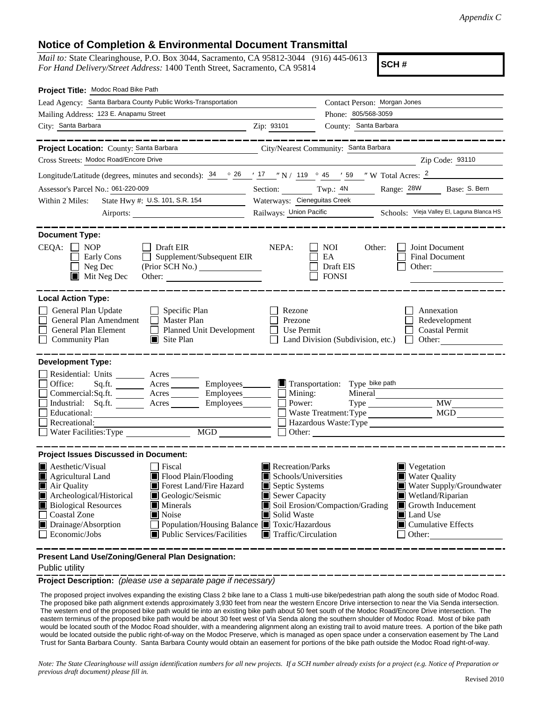## **Notice of Completion & Environmental Document Transmittal**

*Mail to:* State Clearinghouse, P.O. Box 3044, Sacramento, CA 95812-3044 (916) 445-0613 *For Hand Delivery/Street Address:* 1400 Tenth Street, Sacramento, CA 95814

**SCH #**

| Project Title: Modoc Road Bike Path                                                                                                                                                                                                                                                                                                                      |                                                                                                                                                                                                                                                                                                        |  |  |  |  |
|----------------------------------------------------------------------------------------------------------------------------------------------------------------------------------------------------------------------------------------------------------------------------------------------------------------------------------------------------------|--------------------------------------------------------------------------------------------------------------------------------------------------------------------------------------------------------------------------------------------------------------------------------------------------------|--|--|--|--|
| Lead Agency: Santa Barbara County Public Works-Transportation                                                                                                                                                                                                                                                                                            | Contact Person: Morgan Jones                                                                                                                                                                                                                                                                           |  |  |  |  |
| Mailing Address: 123 E. Anapamu Street                                                                                                                                                                                                                                                                                                                   | Phone: 805/568-3059                                                                                                                                                                                                                                                                                    |  |  |  |  |
| City: Santa Barbara                                                                                                                                                                                                                                                                                                                                      | County: Santa Barbara<br>Zip: 93101                                                                                                                                                                                                                                                                    |  |  |  |  |
|                                                                                                                                                                                                                                                                                                                                                          |                                                                                                                                                                                                                                                                                                        |  |  |  |  |
| Project Location: County: Santa Barbara                                                                                                                                                                                                                                                                                                                  | City/Nearest Community: Santa Barbara                                                                                                                                                                                                                                                                  |  |  |  |  |
| Cross Streets: Modoc Road/Encore Drive                                                                                                                                                                                                                                                                                                                   | Zip Code: 93110                                                                                                                                                                                                                                                                                        |  |  |  |  |
| Longitude/Latitude (degrees, minutes and seconds): $\frac{34}{9}$ $\frac{26}{17}$ $\frac{17}{19}$ N / 119 $\degree$ 45 $\degree$ / 59 $\degree$ W Total Acres: $\frac{2}{9}$                                                                                                                                                                             |                                                                                                                                                                                                                                                                                                        |  |  |  |  |
| Assessor's Parcel No.: 061-220-009                                                                                                                                                                                                                                                                                                                       | Section: Twp.: 4N<br>Range: 28W Base: S. Bern                                                                                                                                                                                                                                                          |  |  |  |  |
| State Hwy #: U.S. 101, S.R. 154<br>Within 2 Miles:                                                                                                                                                                                                                                                                                                       | Waterways: Cieneguitas Creek                                                                                                                                                                                                                                                                           |  |  |  |  |
| Airports:                                                                                                                                                                                                                                                                                                                                                | Railways: Union Pacific Schools: Vieja Valley El, Laguna Blanca HS                                                                                                                                                                                                                                     |  |  |  |  |
| <b>Document Type:</b><br>CEQA:<br>$\Box$ Draft EIR<br>NOP<br>Supplement/Subsequent EIR<br>Early Cons<br>Neg Dec<br>$\blacksquare$ Mit Neg Dec                                                                                                                                                                                                            | NEPA:<br><b>NOI</b><br>Other:<br>Joint Document<br>EA<br>Final Document<br>Draft EIS<br>Other: $\qquad \qquad$<br><b>FONSI</b>                                                                                                                                                                         |  |  |  |  |
| <b>Local Action Type:</b>                                                                                                                                                                                                                                                                                                                                |                                                                                                                                                                                                                                                                                                        |  |  |  |  |
| General Plan Update<br>$\Box$ Specific Plan<br>General Plan Amendment<br>$\Box$ Master Plan<br>General Plan Element<br>Planned Unit Development<br><b>Community Plan</b><br>$\Box$ Site Plan                                                                                                                                                             | Rezone<br>Annexation<br>Prezone<br>Redevelopment<br><b>Coastal Permit</b><br>Use Permit<br>Land Division (Subdivision, etc.)<br>Other: $\qquad \qquad$<br>$\Box$                                                                                                                                       |  |  |  |  |
| <b>Development Type:</b>                                                                                                                                                                                                                                                                                                                                 |                                                                                                                                                                                                                                                                                                        |  |  |  |  |
| Residential: Units ________ Acres ______                                                                                                                                                                                                                                                                                                                 |                                                                                                                                                                                                                                                                                                        |  |  |  |  |
| Sq.ft. _________ Acres __________ Employees _______ ■ Transportation: Type bike path<br>Office:                                                                                                                                                                                                                                                          |                                                                                                                                                                                                                                                                                                        |  |  |  |  |
| Commercial:Sq.ft. ________ Acres _________ Employees _______ __ Mining:<br>Industrial: Sq.ft. _______ Acres ________ Employees _______ $\Box$                                                                                                                                                                                                            | Mineral<br>Power:                                                                                                                                                                                                                                                                                      |  |  |  |  |
| Educational:                                                                                                                                                                                                                                                                                                                                             | MGD<br>Waste Treatment: Type                                                                                                                                                                                                                                                                           |  |  |  |  |
| Recreational:                                                                                                                                                                                                                                                                                                                                            | Hazardous Waste:Type                                                                                                                                                                                                                                                                                   |  |  |  |  |
| MGD <b>MGD</b>                                                                                                                                                                                                                                                                                                                                           | Other:                                                                                                                                                                                                                                                                                                 |  |  |  |  |
| <b>Project Issues Discussed in Document:</b>                                                                                                                                                                                                                                                                                                             |                                                                                                                                                                                                                                                                                                        |  |  |  |  |
| $\blacksquare$ Aesthetic/Visual<br>Fiscal<br>Flood Plain/Flooding<br>$\blacksquare$ Agricultural Land<br>Forest Land/Fire Hazard<br>Air Quality<br>Archeological/Historical<br>Geologic/Seismic<br><b>Biological Resources</b><br>$\blacksquare$ Minerals<br><b>Coastal Zone</b><br>$\blacksquare$ Noise<br>Population/Housing Balance ■ Toxic/Hazardous | $\blacksquare$ Recreation/Parks<br>■ Vegetation<br>Schools/Universities<br>■ Water Quality<br>Septic Systems<br>Water Supply/Groundwater<br>Sewer Capacity<br>Wetland/Riparian<br>Soil Erosion/Compaction/Grading<br>Growth Inducement<br>Solid Waste<br>Land Use<br>$\blacksquare$ Cumulative Effects |  |  |  |  |
| Drainage/Absorption<br>Economic/Jobs<br>Public Services/Facilities                                                                                                                                                                                                                                                                                       | $\blacksquare$ Traffic/Circulation<br>Other:                                                                                                                                                                                                                                                           |  |  |  |  |

**Present Land Use/Zoning/General Plan Designation:**

## Public utility

**Project Description:** *(please use a separate page if necessary)*

 The proposed project involves expanding the existing Class 2 bike lane to a Class 1 multi-use bike/pedestrian path along the south side of Modoc Road. The proposed bike path alignment extends approximately 3,930 feet from near the western Encore Drive intersection to near the Via Senda intersection. The western end of the proposed bike path would tie into an existing bike path about 50 feet south of the Modoc Road/Encore Drive intersection. The eastern terminus of the proposed bike path would be about 30 feet west of Via Senda along the southern shoulder of Modoc Road. Most of bike path would be located south of the Modoc Road shoulder, with a meandering alignment along an existing trail to avoid mature trees. A portion of the bike path would be located outside the public right-of-way on the Modoc Preserve, which is managed as open space under a conservation easement by The Land Trust for Santa Barbara County. Santa Barbara County would obtain an easement for portions of the bike path outside the Modoc Road right-of-way.

*Note: The State Clearinghouse will assign identification numbers for all new projects. If a SCH number already exists for a project (e.g. Notice of Preparation or previous draft document) please fill in.*